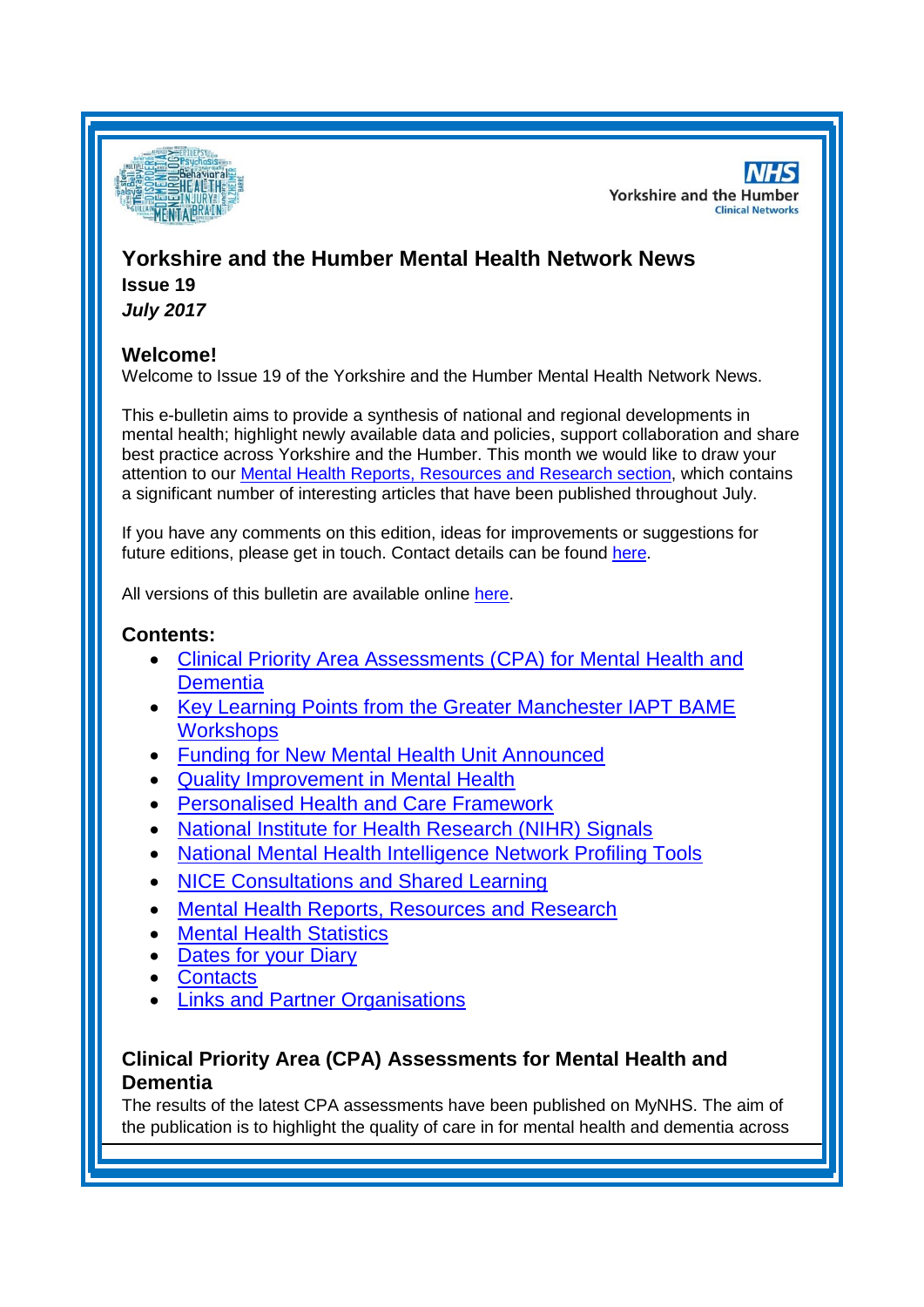

**NHS Yorkshire and the Humber Clinical Networks** 

# **Yorkshire and the Humber Mental Health Network News**

**Issue 19** *July 2017*

# **Welcome!**

Welcome to Issue 19 of the Yorkshire and the Humber Mental Health Network News.

This e-bulletin aims to provide a synthesis of national and regional developments in mental health; highlight newly available data and policies, support collaboration and share best practice across Yorkshire and the Humber. This month we would like to draw your attention to our [Mental Health Reports, Resources and Research section,](#page-1-0) which contains a significant number of interesting articles that have been published throughout July.

If you have any comments on this edition, ideas for improvements or suggestions for future editions, please get in touch. Contact details can be found [here.](#page-6-0)

All versions of this bulletin are available online [here.](http://www.yhscn.nhs.uk/mental-health-clinic/mental-health-network/MH-documents-and-links.php)

# **Contents:**

- [Clinical Priority Area Assessments \(CPA\) for Mental Health and](#page-0-0)  **[Dementia](#page-0-0)**
- Key Learning Points from the Greater Manchester IAPT BAME **[Workshops](#page-0-0)**
- [Funding for New Mental Health Unit Announced](#page-1-0)
- [Quality Improvement in Mental Health](#page-1-1)
- [Personalised Health and Care Framework](#page-1-2)
- [National Institute for Health Research \(NIHR\) Signals](#page-2-0)
- [National Mental Health Intelligence Network Profiling Tools](#page-2-1)
- [NICE Consultations and Shared Learning](#page-2-2)
- [Mental Health Reports, Resources and Research](#page-1-0)
- [Mental Health Statistics](#page-4-0)
- [Dates for your](#page-4-1) Diary
- [Contacts](#page-6-0)
- [Links and Partner Organisations](#page-6-1)

# <span id="page-0-0"></span>**Clinical Priority Area (CPA) Assessments for Mental Health and Dementia**

The results of the latest CPA assessments have been published on MyNHS. The aim of the publication is to highlight the quality of care in for mental health and dementia across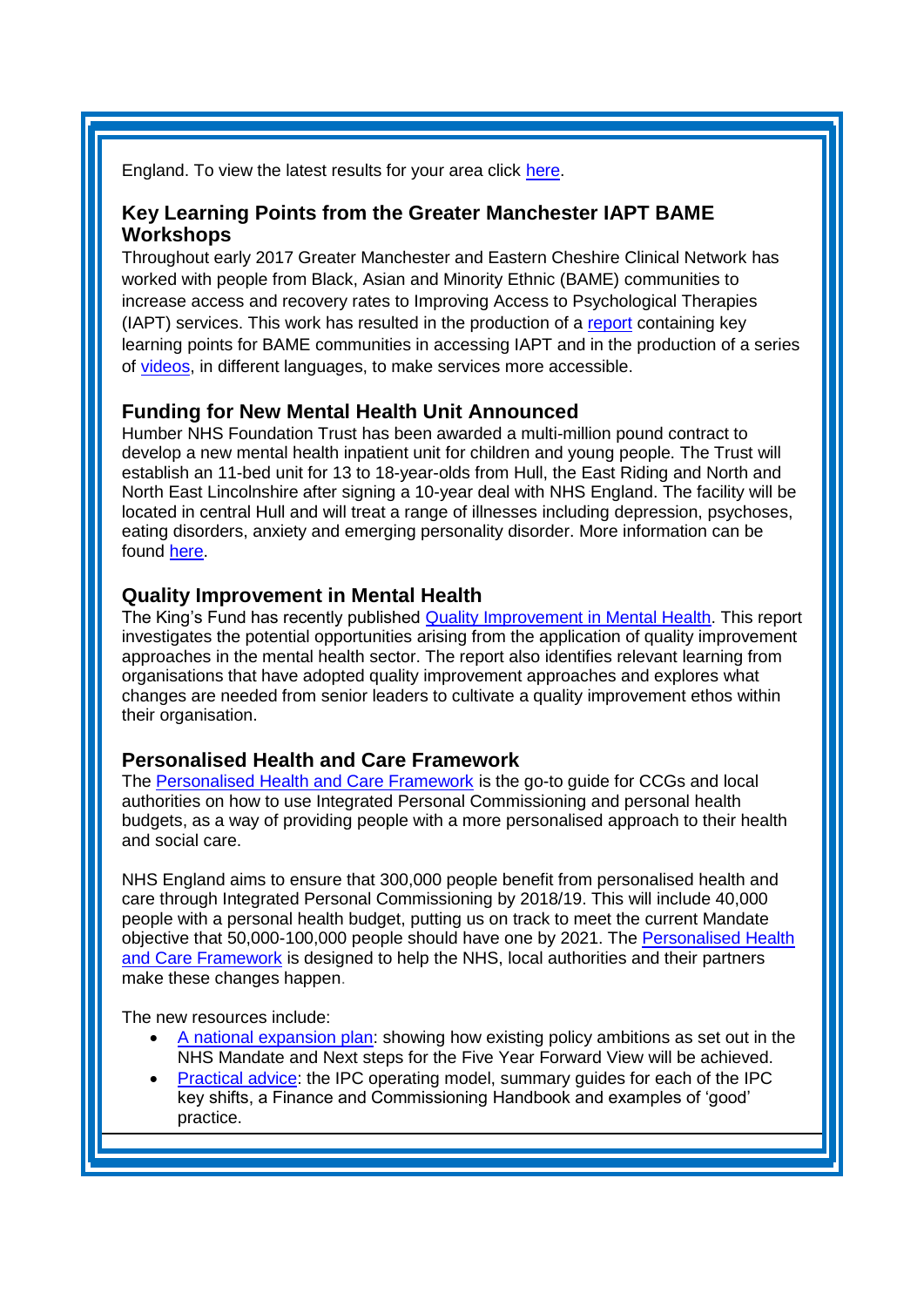England. To view the latest results for your area click [here.](https://www.nhs.uk/service-search/performance-indicators/organisations/ccg-better-care?ResultsViewId=1173&MetricGroupId=609&SortingMetricId=-1&SortDirection=NotSet&Radius=25&PageSize=10&locationId=18766&locationName=Sheffield%2C%20South%20Yorkshire%2C%20S1&latitude=53.381&longitude=-1.47)

#### **Key Learning Points from the Greater Manchester IAPT BAME Workshops**

Throughout early 2017 Greater Manchester and Eastern Cheshire Clinical Network has worked with people from Black, Asian and Minority Ethnic (BAME) communities to increase access and recovery rates to Improving Access to Psychological Therapies (IAPT) services. This work has resulted in the production of a [report](http://lgbt.foundation/assets/_files/documents/jul_17/FENT__1500641364_BAME_IAPT_Workshops_SHARED_LEA.pdf) containing key learning points for BAME communities in accessing IAPT and in the production of a series of [videos,](https://www.youtube.com/playlist?list=PLUvqYF0wCD5-ZngMtArxzgX40W9LeLwds) in different languages, to make services more accessible.

#### <span id="page-1-0"></span>**Funding for New Mental Health Unit Announced**

Humber NHS Foundation Trust has been awarded a multi-million pound contract to develop a new mental health inpatient unit for children and young people. The Trust will establish an 11-bed unit for 13 to 18-year-olds from Hull, the East Riding and North and North East Lincolnshire after signing a 10-year deal with NHS England. The facility will be located in central Hull and will treat a range of illnesses including depression, psychoses, eating disorders, anxiety and emerging personality disorder. More information can be found [here.](http://www.humber.nhs.uk/news/Humber-NHS-Foundation-Trust-awarded-multi-million-pound-contract-to-develop-new-mental-health-inpatient-unit-for-children-and-young-people.htm)

#### <span id="page-1-1"></span>**Quality Improvement in Mental Health**

The King's Fund has recently published [Quality Improvement in Mental Health.](https://www.kingsfund.org.uk/publications/quality-improvement-mental-health) This report investigates the potential opportunities arising from the application of quality improvement approaches in the mental health sector. The report also identifies relevant learning from organisations that have adopted quality improvement approaches and explores what changes are needed from senior leaders to cultivate a quality improvement ethos within their organisation.

#### <span id="page-1-2"></span>**Personalised Health and Care Framework**

The [Personalised Health and Care Framework](http://www.personalhealthbudgets.england.nhs.uk/nl/?nl=45&u=4230B1DC-0376-A547-D245BB6A74C9B90C) is the go-to guide for CCGs and local authorities on how to use Integrated Personal Commissioning and personal health budgets, as a way of providing people with a more personalised approach to their health and social care.

NHS England aims to ensure that 300,000 people benefit from personalised health and care through Integrated Personal Commissioning by 2018/19. This will include 40,000 people with a personal health budget, putting us on track to meet the current Mandate objective that 50,000-100,000 people should have one by 2021. The [Personalised Health](http://www.personalhealthbudgets.england.nhs.uk/nl/?nl=46&u=4230B1DC-0376-A547-D245BB6A74C9B90C)  [and Care Framework](http://www.personalhealthbudgets.england.nhs.uk/nl/?nl=46&u=4230B1DC-0376-A547-D245BB6A74C9B90C) is designed to help the NHS, local authorities and their partners make these changes happen.

The new resources include:

- [A national expansion plan:](https://www.england.nhs.uk/personalised-health-and-care/national-expansion-plan/) showing how existing policy ambitions as set out in the NHS Mandate and Next steps for the Five Year Forward View will be achieved.
- [Practical advice:](http://www.personalhealthbudgets.england.nhs.uk/nl/?nl=45&u=4230B1DC-0376-A547-D245BB6A74C9B90C) the IPC operating model, summary guides for each of the IPC key shifts, a Finance and Commissioning Handbook and examples of 'good' practice.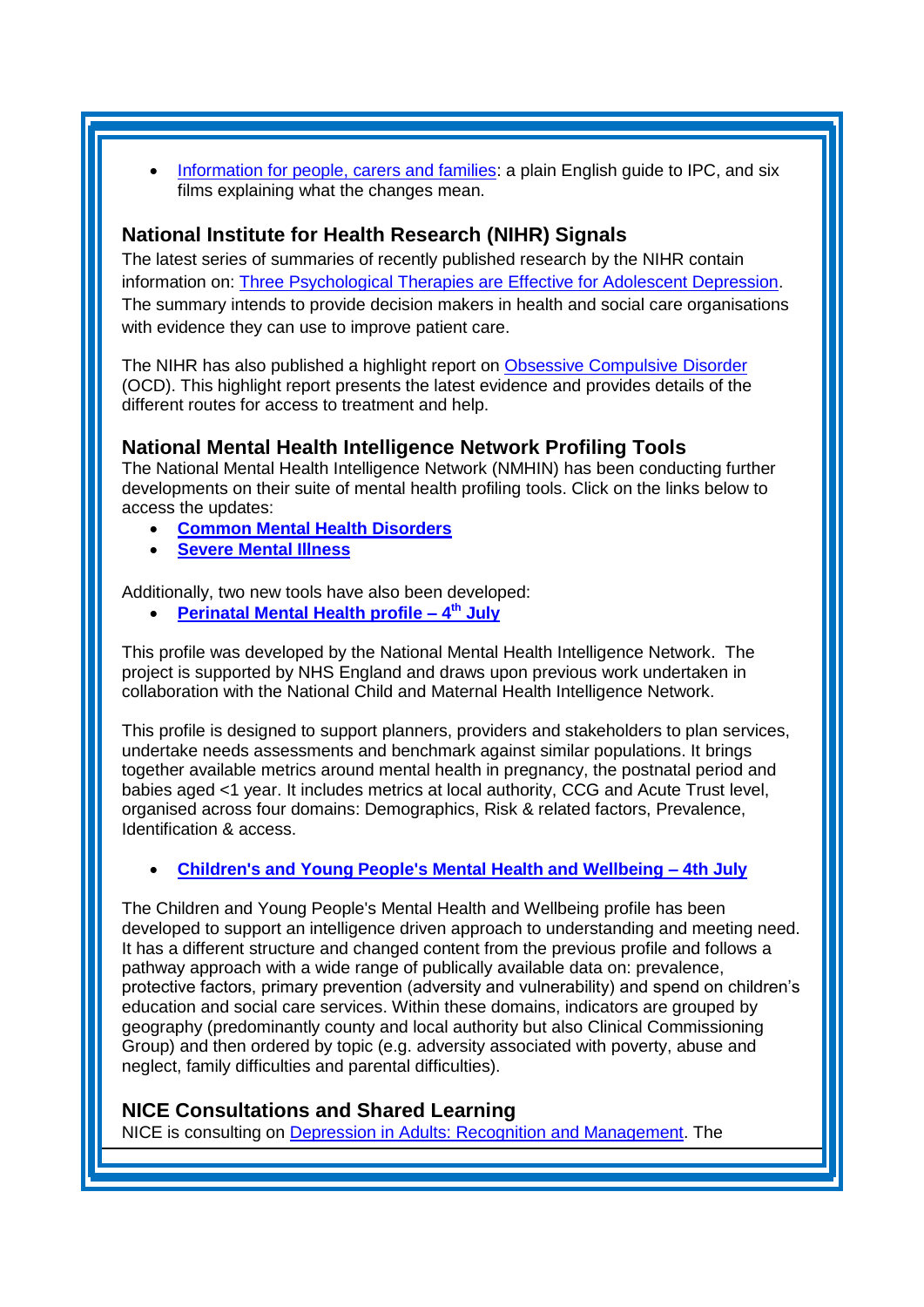[Information for people, carers and families:](https://www.england.nhs.uk/personalised-health-and-care/information-for-people-families-and-carers/) a plain English guide to IPC, and six films explaining what the changes mean.

## <span id="page-2-0"></span>**National Institute for Health Research (NIHR) Signals**

The latest series of summaries of recently published research by the NIHR contain information on: [Three Psychological Therapies are Effective for Adolescent Depression.](https://discover.dc.nihr.ac.uk/portal/article/4000693/three-psychological-therapies-are-effective-for-adolescent-depression) The summary intends to provide decision makers in health and social care organisations with evidence they can use to improve patient care.

The NIHR has also published a highlight report on [Obsessive Compulsive Disorder](http://www.dc.nihr.ac.uk/highlights/ocd/) (OCD). This highlight report presents the latest evidence and provides details of the different routes for access to treatment and help.

## <span id="page-2-1"></span>**National Mental Health Intelligence Network Profiling Tools**

The National Mental Health Intelligence Network (NMHIN) has been conducting further developments on their suite of mental health profiling tools. Click on the links below to access the updates:

- **[Common Mental Health Disorders](https://fingertips.phe.org.uk/profile-group/mental-health/profile/common-mental-disorders)**
- **[Severe Mental Illness](http://fingertips.phe.org.uk/profile-group/mental-health/profile/severe-mental-illness)**

Additionally, two new tools have also been developed:

**[Perinatal Mental Health profile –](http://fingertips.phe.org.uk/profile-group/mental-health/profile/perinatal-mental-health) 4 th July**

This profile was developed by the National Mental Health Intelligence Network. The project is supported by NHS England and draws upon previous work undertaken in collaboration with the National Child and Maternal Health Intelligence Network.

This profile is designed to support planners, providers and stakeholders to plan services, undertake needs assessments and benchmark against similar populations. It brings together available metrics around mental health in pregnancy, the postnatal period and babies aged <1 year. It includes metrics at local authority, CCG and Acute Trust level, organised across four domains: Demographics, Risk & related factors, Prevalence, Identification & access.

#### **[Children's and Young People's Mental Health and Wellbeing –](http://fingertips.phe.org.uk/profile-group/mental-health/profile/cypmh) 4th July**

The Children and Young People's Mental Health and Wellbeing profile has been developed to support an intelligence driven approach to understanding and meeting need. It has a different structure and changed content from the previous profile and follows a pathway approach with a wide range of publically available data on: prevalence, protective factors, primary prevention (adversity and vulnerability) and spend on children's education and social care services. Within these domains, indicators are grouped by geography (predominantly county and local authority but also Clinical Commissioning Group) and then ordered by topic (e.g. adversity associated with poverty, abuse and neglect, family difficulties and parental difficulties).

## <span id="page-2-2"></span>**NICE Consultations and Shared Learning**

NICE is consulting on [Depression in Adults: Recognition and Management.](https://www.nice.org.uk/guidance/indevelopment/gid-cgwave0725/consultation/html-content) The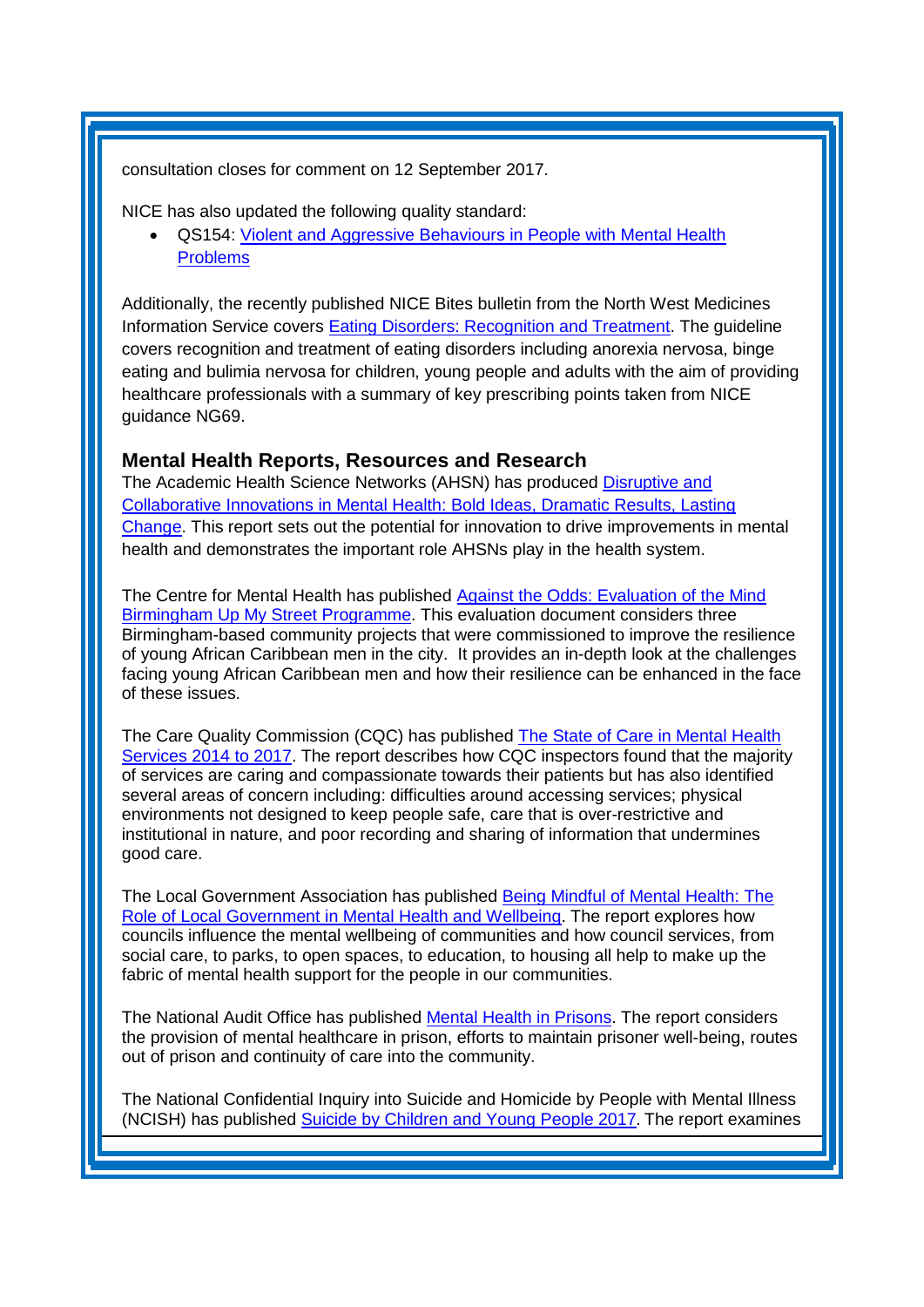consultation closes for comment on 12 September 2017.

NICE has also updated the following quality standard:

 QS154: [Violent and Aggressive Behaviours in People with Mental Health](https://www.nice.org.uk/guidance/qs154)  [Problems](https://www.nice.org.uk/guidance/qs154)

Additionally, the recently published NICE Bites bulletin from the North West Medicines Information Service covers [Eating Disorders: Recognition and Treatment.](https://www.sps.nhs.uk/articles/nice-bites-eating-disorders-recognition-and-treatment/) The guideline covers recognition and treatment of eating disorders including anorexia nervosa, binge eating and bulimia nervosa for children, young people and adults with the aim of providing healthcare professionals with a summary of key prescribing points taken from NICE guidance NG69.

## **Mental Health Reports, Resources and Research**

The Academic Health Science Networks (AHSN) has produced [Disruptive and](http://www.ahsnnetwork.com/wp-content/uploads/2017/06/Mental_Health_Brochure.pdf)  [Collaborative Innovations in Mental Health: Bold Ideas, Dramatic Results, Lasting](http://www.ahsnnetwork.com/wp-content/uploads/2017/06/Mental_Health_Brochure.pdf)  [Change.](http://www.ahsnnetwork.com/wp-content/uploads/2017/06/Mental_Health_Brochure.pdf) This report sets out the potential for innovation to drive improvements in mental health and demonstrates the important role AHSNs play in the health system.

The Centre for Mental Health has published [Against the Odds: Evaluation of the Mind](https://www.centreformentalhealth.org.uk/against-the-odds)  [Birmingham Up My Street Programme.](https://www.centreformentalhealth.org.uk/against-the-odds) This evaluation document considers three Birmingham-based community projects that were commissioned to improve the resilience of young African Caribbean men in the city. It provides an in-depth look at the challenges facing young African Caribbean men and how their resilience can be enhanced in the face of these issues.

The Care Quality Commission (CQC) has published [The State of Care in Mental Health](http://www.cqc.org.uk/publications/major-report/state-care-mental-health-services-2014-2017)  [Services 2014 to 2017.](http://www.cqc.org.uk/publications/major-report/state-care-mental-health-services-2014-2017) The report describes how CQC inspectors found that the majority of services are caring and compassionate towards their patients but has also identified several areas of concern including: difficulties around accessing services; physical environments not designed to keep people safe, care that is over-restrictive and institutional in nature, and poor recording and sharing of information that undermines good care.

The Local Government Association has published [Being Mindful of Mental Health: The](https://www.local.gov.uk/being-mindful-mental-health-role-local-government-mental-health-and-wellbeing)  [Role of Local Government in Mental Health and Wellbeing.](https://www.local.gov.uk/being-mindful-mental-health-role-local-government-mental-health-and-wellbeing) The report explores how councils influence the mental wellbeing of communities and how council services, from social care, to parks, to open spaces, to education, to housing all help to make up the fabric of mental health support for the people in our communities.

The National Audit Office has published [Mental Health in Prisons.](https://www.nao.org.uk/report/mental-health-in-prisons/) The report considers the provision of mental healthcare in prison, efforts to maintain prisoner well-being, routes out of prison and continuity of care into the community.

The National Confidential Inquiry into Suicide and Homicide by People with Mental Illness (NCISH) has published [Suicide by Children and Young People 2017](http://www.hqip.org.uk/resources/report-suicide-by-children-and-young-people-2017/?source=chainmail). The report examines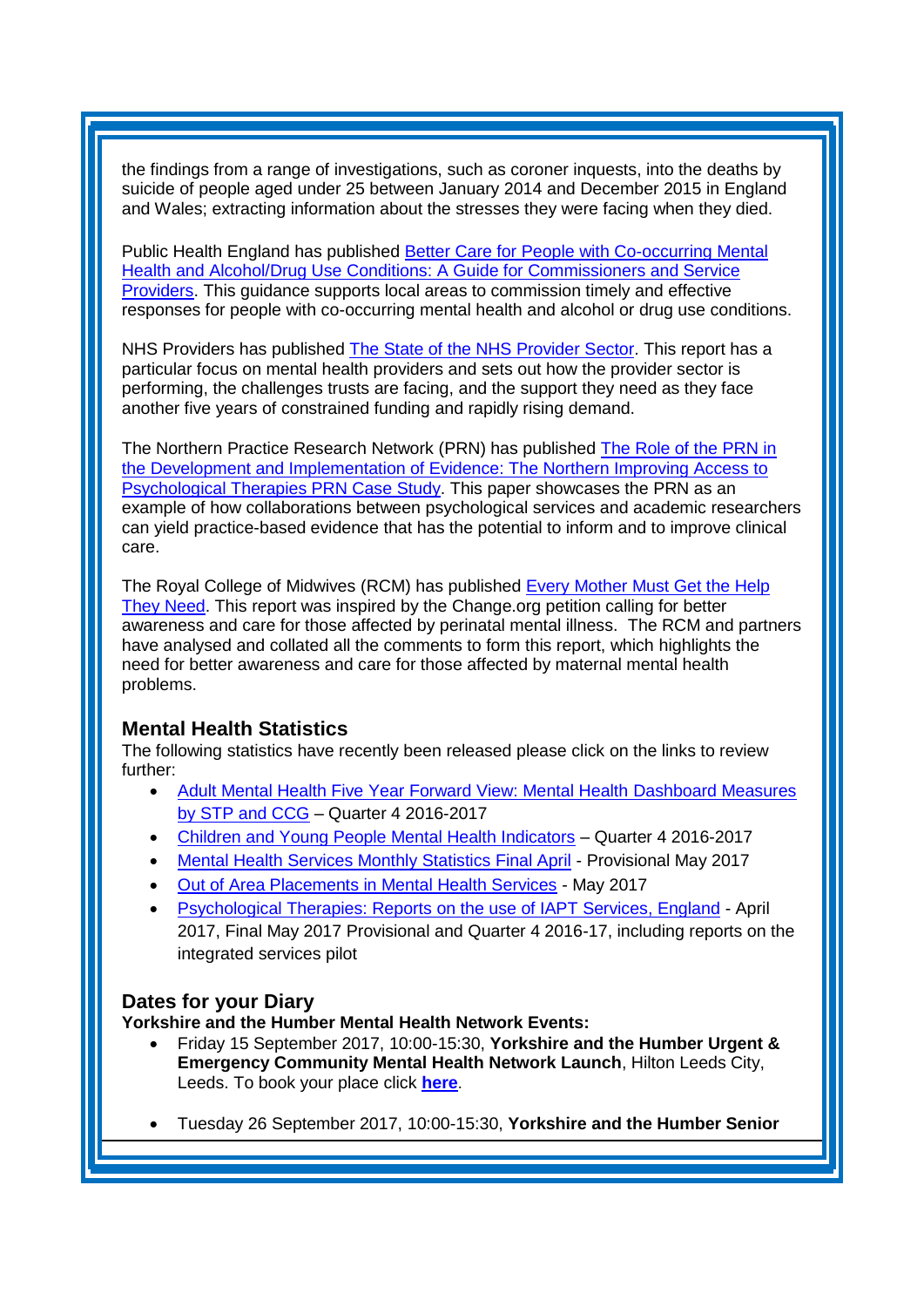the findings from a range of investigations, such as coroner inquests, into the deaths by suicide of people aged under 25 between January 2014 and December 2015 in England and Wales; extracting information about the stresses they were facing when they died.

Public Health England has published [Better Care for People with Co-occurring Mental](https://www.gov.uk/government/publications/people-with-co-occurring-conditions-commission-and-provide-services)  [Health and](https://www.gov.uk/government/publications/people-with-co-occurring-conditions-commission-and-provide-services) Alcohol/Drug Use Conditions: A [Guide for Commissioners and Service](https://www.gov.uk/government/publications/people-with-co-occurring-conditions-commission-and-provide-services)  [Providers.](https://www.gov.uk/government/publications/people-with-co-occurring-conditions-commission-and-provide-services) This guidance supports local areas to commission timely and effective responses for people with co-occurring mental health and alcohol or drug use conditions.

NHS Providers has published [The State of the NHS Provider Sector.](https://nhsproviders.org/resource-library/reports/the-state-of-the-nhs-provider-sector) This report has a particular focus on mental health providers and sets out how the provider sector is performing, the challenges trusts are facing, and the support they need as they face another five years of constrained funding and rapidly rising demand.

The Northern Practice Research Network (PRN) has published The Role of the PRN in [the Development and Implementation of Evidence: The Northern Improving Access to](http://eprints.hud.ac.uk/id/eprint/32368/1/Lucock.pdf)  [Psychological Therapies PRN Case Study.](http://eprints.hud.ac.uk/id/eprint/32368/1/Lucock.pdf) This paper showcases the PRN as an example of how collaborations between psychological services and academic researchers can yield practice-based evidence that has the potential to inform and to improve clinical care.

The Royal College of Midwives (RCM) has published [Every Mother Must Get the Help](https://www.rcm.org.uk/sites/default/files/RCM_Perinatal%20Mental%20Illness_A4%20report_final.pdf)  [They Need.](https://www.rcm.org.uk/sites/default/files/RCM_Perinatal%20Mental%20Illness_A4%20report_final.pdf) This report was inspired by the Change.org petition calling for better awareness and care for those affected by perinatal mental illness. The RCM and partners have analysed and collated all the comments to form this report, which highlights the need for better awareness and care for those affected by maternal mental health problems.

# <span id="page-4-0"></span>**Mental Health Statistics**

The following statistics have recently been released please click on the links to review further:

- [Adult Mental Health Five Year Forward View: Mental Health Dashboard Measures](http://content.digital.nhs.uk/suppinfofiles?tabid=1)  [by STP and CCG](http://content.digital.nhs.uk/suppinfofiles?tabid=1) – Quarter 4 2016-2017
- [Children and Young People Mental Health Indicators](http://content.digital.nhs.uk/suppinfofiles?tabid=1) Quarter 4 2016-2017
- [Mental Health Services Monthly Statistics Final April](http://digital.nhs.uk/catalogue/PUB30032) Provisional May 2017
- [Out of Area Placements in Mental Health Services](https://www.gov.uk/government/statistics/announcements/out-of-area-placements-in-mental-health-services-may-2017) May 2017
- [Psychological Therapies: Reports on the use of IAPT Services, England](http://www.digital.nhs.uk/catalogue/PUB30035) April 2017, Final May 2017 Provisional and Quarter 4 2016-17, including reports on the integrated services pilot

# <span id="page-4-1"></span>**Dates for your Diary**

## **Yorkshire and the Humber Mental Health Network Events:**

- Friday 15 September 2017, 10:00-15:30, **Yorkshire and the Humber Urgent & Emergency Community Mental Health Network Launch**, Hilton Leeds City, Leeds. To book your place click **[here](https://www.eventbrite.co.uk/e/yorkshire-and-the-humber-urgent-emergency-community-mental-health-network-launch-tickets-35933404781)**.
- Tuesday 26 September 2017, 10:00-15:30, **Yorkshire and the Humber Senior**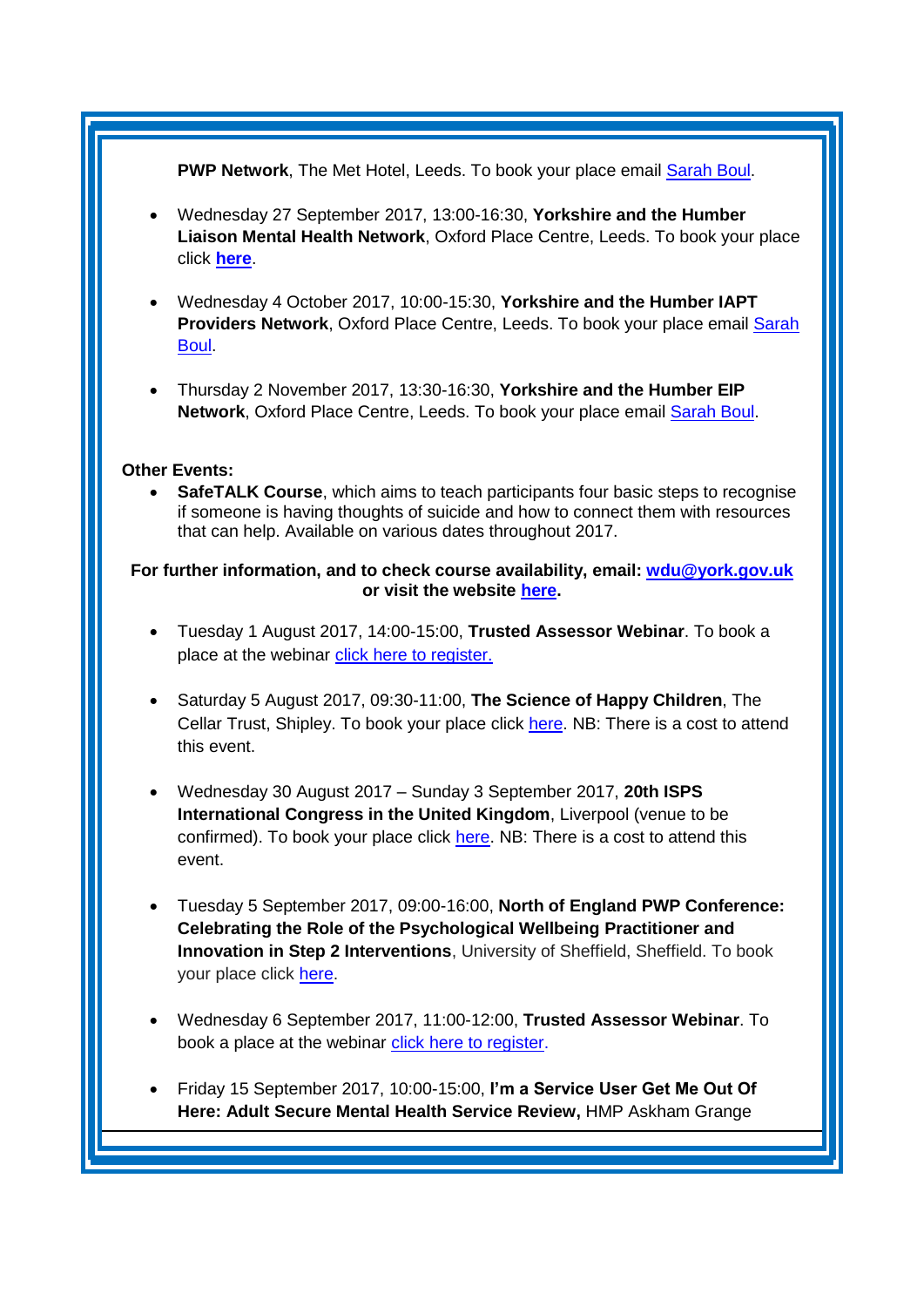#### PWP Network, The Met Hotel, Leeds. To book your place email **[Sarah Boul.](mailto:sarah.boul@nhs.net)**

- Wednesday 27 September 2017, 13:00-16:30, **Yorkshire and the Humber Liaison Mental Health Network**, Oxford Place Centre, Leeds. To book your place click **[here](https://www.eventbrite.co.uk/e/yorkshire-and-the-humber-liaison-mental-health-network-meeting-tickets-34572375907)**.
- Wednesday 4 October 2017, 10:00-15:30, **Yorkshire and the Humber IAPT Providers Network, Oxford Place Centre, Leeds. To book your place email Sarah** [Boul.](mailto:sarah.boul@nhs.net)
- Thursday 2 November 2017, 13:30-16:30, **Yorkshire and the Humber EIP**  Network, Oxford Place Centre, Leeds. To book your place email **Sarah Boul.**

#### **Other Events:**

 **SafeTALK Course**, which aims to teach participants four basic steps to recognise if someone is having thoughts of suicide and how to connect them with resources that can help. Available on various dates throughout 2017.

#### **For further information, and to check course availability, email: [wdu@york.gov.uk](mailto:wdu@york.gov.uk) or visit the website [here.](http://www.yorkworkforcedevelopment.org.uk/)**

- Tuesday 1 August 2017, 14:00-15:00, **Trusted Assessor Webinar**. To book a place at the webinar [click here to register.](https://healthsector.webex.com/mw3000/mywebex/default.do?service=1&siteurl=healthsector&nomenu=true&main_url=%2Fmc3000%2Fe.do%3Fsiteurl%3Dhealthsector%26AT%3DMI%26EventID%3D525763292%26UID%3D0%26Host%3DQUhTSwAAAAQwZNNS5bQ-WTOzxcvMDuGBjIJDv4jTt9DmT-z-mB5DklTaJOb3muw6BFUwQE84GXN__88c2Vrwq4OmZKjT9ikK0%26RG%3D1%26FrameSet%3D2%26RGID%3Dr7b735905e9a0d6eb8f328a3fb6463007)
- Saturday 5 August 2017, 09:30-11:00, **The Science of Happy Children**, The Cellar Trust, Shipley. To book your place click [here.](https://www.ticketsource.co.uk/mellownest) NB: There is a cost to attend this event.
- Wednesday 30 August 2017 Sunday 3 September 2017, **20th ISPS International Congress in the United Kingdom**, Liverpool (venue to be confirmed). To book your place click [here.](http://www.isps2017uk.org/) NB: There is a cost to attend this event.
- Tuesday 5 September 2017, 09:00-16:00, **North of England PWP Conference: Celebrating the Role of the Psychological Wellbeing Practitioner and Innovation in Step 2 Interventions**, University of Sheffield, Sheffield. To book your place click [here.](http://www.nwppn.nhs.uk/index.php/events/05-09-17-north-of-england-pwp-conference)
- Wednesday 6 September 2017, 11:00-12:00, **Trusted Assessor Webinar**. To book a place at the webinar [click here to register](https://healthsector.webex.com/healthsector/j.php?RGID=r27c7abfb7c39a9cd29b9fc38c43231a3)[.](https://healthsector.webex.com/mw3000/mywebex/default.do?service=1&siteurl=healthsector&nomenu=true&main_url=%2Fmc3000%2Fe.do%3Fsiteurl%3Dhealthsector%26AT%3DMI%26EventID%3D525763292%26UID%3D0%26Host%3DQUhTSwAAAAQwZNNS5bQ-WTOzxcvMDuGBjIJDv4jTt9DmT-z-mB5DklTaJOb3muw6BFUwQE84GXN__88c2Vrwq4OmZKjT9ikK0%26RG%3D1%26FrameSet%3D2%26RGID%3Dr7b735905e9a0d6eb8f328a3fb6463007)
- Friday 15 September 2017, 10:00-15:00, **I'm a Service User Get Me Out Of Here: Adult Secure Mental Health Service Review,** HMP Askham Grange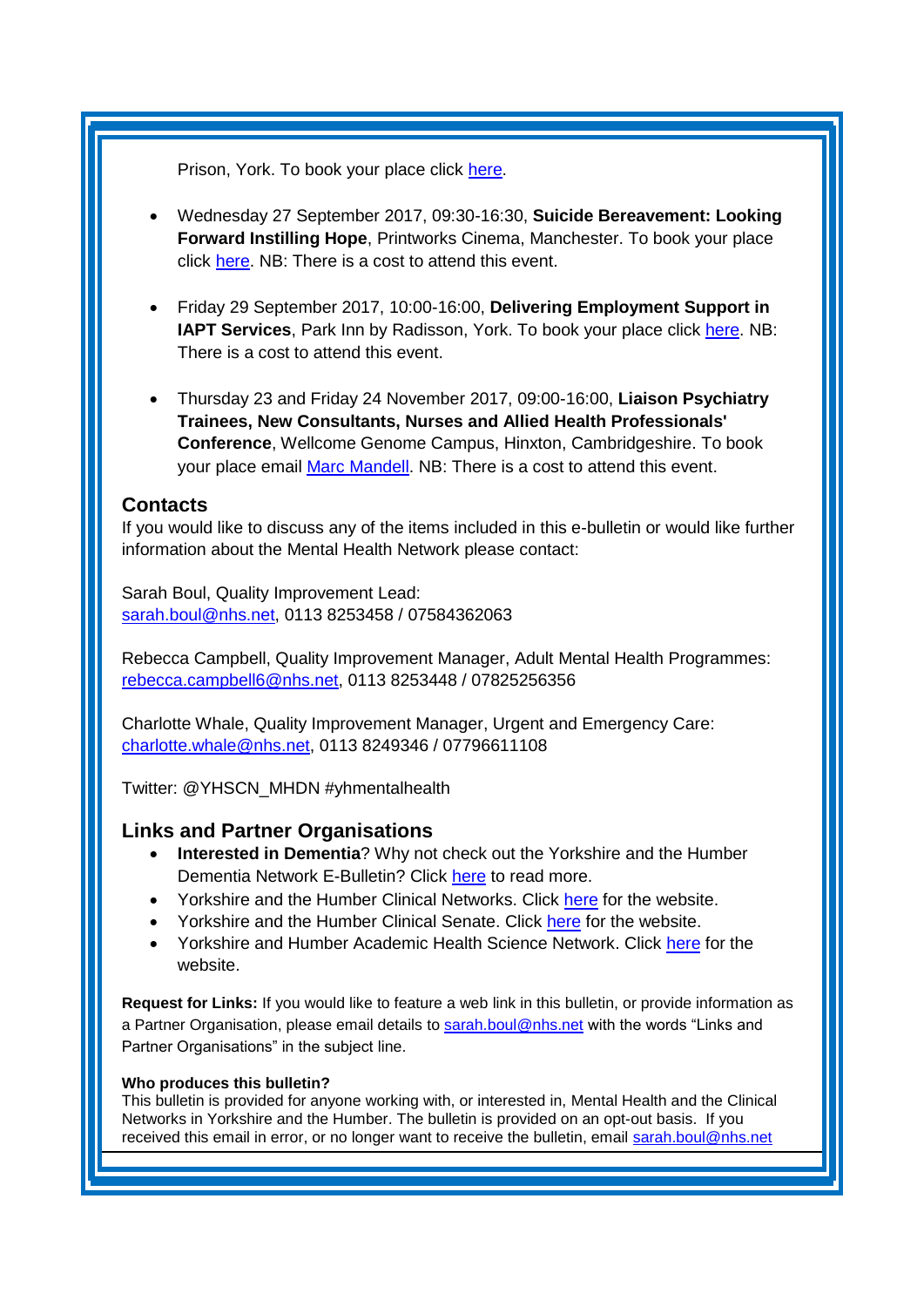Prison, York. To book your place click [here.](https://www.eventbrite.co.uk/e/im-a-service-user-get-me-out-of-here-tickets-36270742768?utm_term=eventurl_text)

- Wednesday 27 September 2017, 09:30-16:30, **Suicide Bereavement: Looking Forward Instilling Hope**, Printworks Cinema, Manchester. To book your place click [here.](https://dl.dropboxusercontent.com/u/5311451/3233_Suicide_Bereavement_Conference_flyer_2017_v6.pdf) NB: There is a cost to attend this event.
- Friday 29 September 2017, 10:00-16:00, **Delivering Employment Support in IAPT Services**, Park Inn by Radisson, York. To book your place click [here.](http://www.iapt-nnf.co.uk/Home/ViewEvent/71?utm_source=SBK%20Healthcare&utm_medium=email&utm_campaign=8412308_1784PT%201st%20email&dm_i=1SB0,50AZ8,MCTTTA,J380M,1) NB: There is a cost to attend this event.
- Thursday 23 and Friday 24 November 2017, 09:00-16:00, **Liaison Psychiatry Trainees, New Consultants, Nurses and Allied Health Professionals' Conference**, Wellcome Genome Campus, Hinxton, Cambridgeshire. To book your place email [Marc Mandell.](mailto:Marc.Mandell@hpft.nhs.uk) NB: There is a cost to attend this event.

## <span id="page-6-0"></span>**Contacts**

If you would like to discuss any of the items included in this e-bulletin or would like further information about the Mental Health Network please contact:

Sarah Boul, Quality Improvement Lead: [sarah.boul@nhs.net,](mailto:sarah.boul@nhs.net) 0113 8253458 / 07584362063

Rebecca Campbell, Quality Improvement Manager, Adult Mental Health Programmes: [rebecca.campbell6@nhs.net,](mailto:rebecca.campbell6@nhs.net) 0113 8253448 / 07825256356

Charlotte Whale, Quality Improvement Manager, Urgent and Emergency Care: [charlotte.whale@nhs.net,](mailto:charlotte.whale@nhs.net) 0113 8249346 / 07796611108

Twitter: @YHSCN\_MHDN #yhmentalhealth

## <span id="page-6-1"></span>**Links and Partner Organisations**

- **Interested in Dementia**? Why not check out the Yorkshire and the Humber Dementia Network E-Bulletin? Click [here](http://www.yhscn.nhs.uk/mental-health-clinic/Dementia/YHSCNDementiaBulletin.php) to read more.
- Yorkshire and the Humber Clinical Networks. Click [here](http://www.yhscn.nhs.uk/index.php) for the website.
- Yorkshire and the Humber Clinical Senate. Click [here](http://www.yhsenate.nhs.uk/index.php) for the website.
- Yorkshire and Humber Academic Health Science Network. Click [here](http://www.yhahsn.org.uk/) for the website.

**Request for Links:** If you would like to feature a web link in this bulletin, or provide information as a Partner Organisation, please email details to [sarah.boul@nhs.net](mailto:sarah.boul@nhs.net) with the words "Links and Partner Organisations" in the subject line.

#### **Who produces this bulletin?**

This bulletin is provided for anyone working with, or interested in, Mental Health and the Clinical Networks in Yorkshire and the Humber. The bulletin is provided on an opt-out basis. If you received this email in error, or no longer want to receive the bulletin, email [sarah.boul@nhs.net](mailto:sarah.boul@nhs.net)